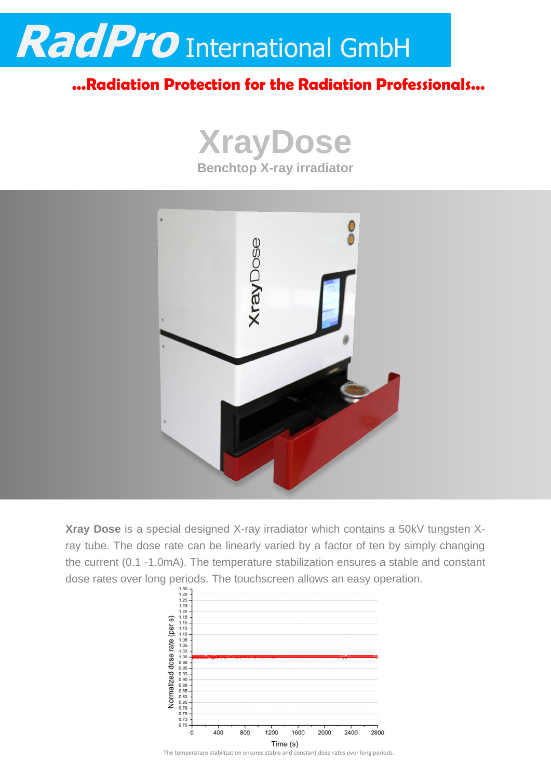

## **...Radiation Protection for the Radiation Professionals...**





**Xray Dose** is a special designed X-ray irradiator which contains a 50kV tungsten Xray tube. The dose rate can be linearly varied by a factor of ten by simply changing the current (0.1 -1.0mA). The temperature stabilization ensures a stable and constant dose rates over long periods. The touchscreen allows an easy operation.<br>  $\frac{128}{128}$ 



The temperature stabilization ensures stable and constant dose rates over long periods.